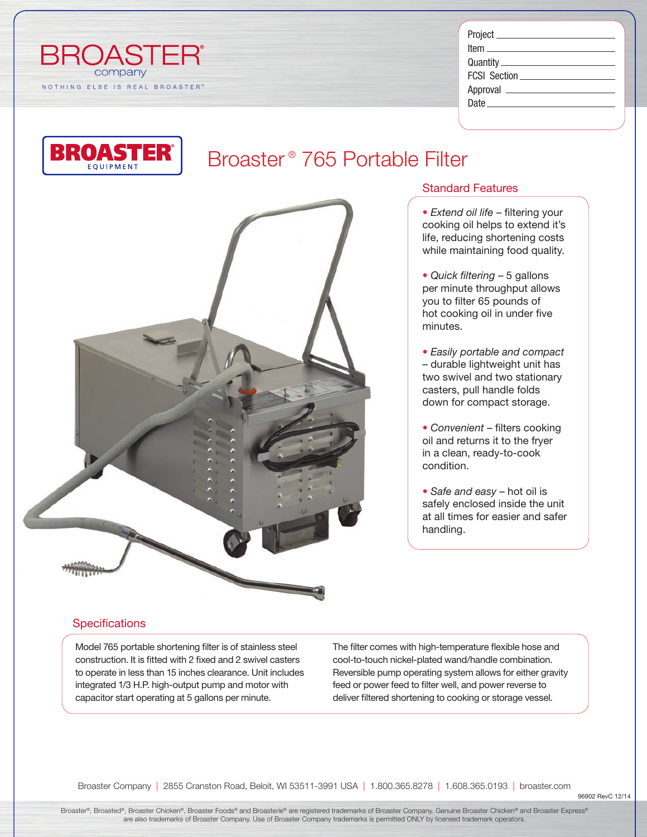

| FCSI Section _____________________ |
|------------------------------------|
|                                    |
| Date                               |
|                                    |



## Broaster ® 765 Portable Filter



### Standard Features

- *Extend oil life* filtering your cooking oil helps to extend it's life, reducing shortening costs while maintaining food quality.
- *Quick filtering* 5 gallons per minute throughput allows you to filter 65 pounds of hot cooking oil in under five minutes.
- *Easily portable and compact* – durable lightweight unit has two swivel and two stationary casters, pull handle folds down for compact storage.
- *Convenient* filters cooking oil and returns it to the fryer in a clean, ready-to-cook condition.
- *Safe and easy* hot oil is safely enclosed inside the unit at all times for easier and safer handling.

### **Specifications**

Model 765 portable shortening filter is of stainless steel construction. It is fitted with 2 fixed and 2 swivel casters to operate in less than 15 inches clearance. Unit includes integrated 1/3 H.P. high-output pump and motor with capacitor start operating at 5 gallons per minute.

The filter comes with high-temperature flexible hose and cool-to-touch nickel-plated wand/handle combination. Reversible pump operating system allows for either gravity feed or power feed to filter well, and power reverse to deliver filtered shortening to cooking or storage vessel.

Broaster Company | 2855 Cranston Road, Beloit, WI 53511-3991 USA | 1.800.365.8278 | 1.608.365.0193 | broaster.com

Broaster®, Broasted®, Broaster Chicken®, Broaster Foods® and Broasterie® are registered trademarks of Broaster Company. Genuine Broaster Chicken® and Broaster Express® are also trademarks of Broaster Company. Use of Broaster Company trademarks is permitted ONLY by licensed trademark operators.